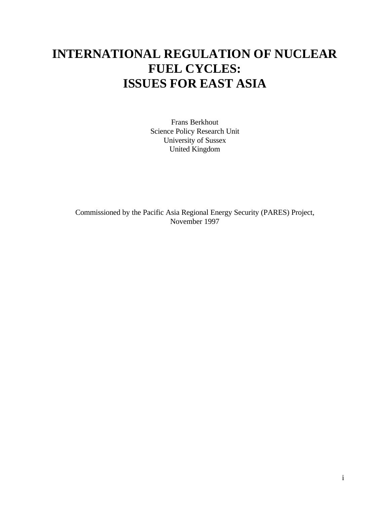# **INTERNATIONAL REGULATION OF NUCLEAR FUEL CYCLES: ISSUES FOR EAST ASIA**

Frans Berkhout Science Policy Research Unit University of Sussex United Kingdom

Commissioned by the Pacific Asia Regional Energy Security (PARES) Project, November 1997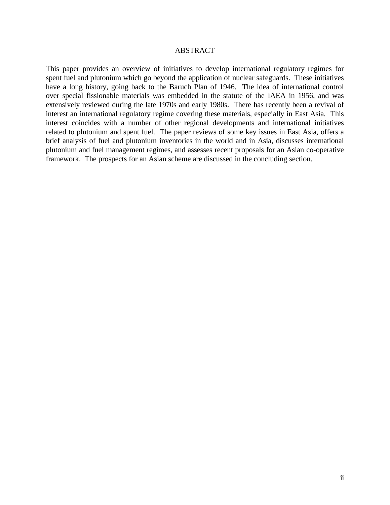#### ABSTRACT

This paper provides an overview of initiatives to develop international regulatory regimes for spent fuel and plutonium which go beyond the application of nuclear safeguards. These initiatives have a long history, going back to the Baruch Plan of 1946. The idea of international control over special fissionable materials was embedded in the statute of the IAEA in 1956, and was extensively reviewed during the late 1970s and early 1980s. There has recently been a revival of interest an international regulatory regime covering these materials, especially in East Asia. This interest coincides with a number of other regional developments and international initiatives related to plutonium and spent fuel. The paper reviews of some key issues in East Asia, offers a brief analysis of fuel and plutonium inventories in the world and in Asia, discusses international plutonium and fuel management regimes, and assesses recent proposals for an Asian co-operative framework. The prospects for an Asian scheme are discussed in the concluding section.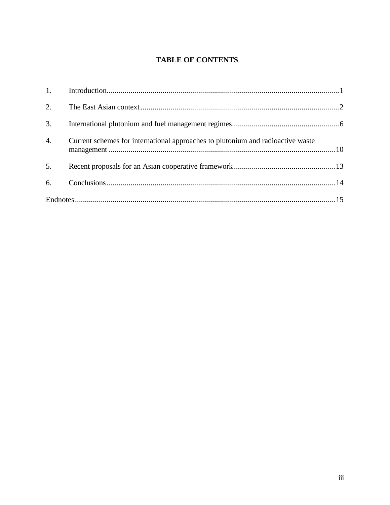# **TABLE OF CONTENTS**

| 2.               |                                                                                 |  |  |  |
|------------------|---------------------------------------------------------------------------------|--|--|--|
| 3.               |                                                                                 |  |  |  |
| $\overline{4}$ . | Current schemes for international approaches to plutonium and radioactive waste |  |  |  |
| 5.               |                                                                                 |  |  |  |
| 6.               |                                                                                 |  |  |  |
|                  |                                                                                 |  |  |  |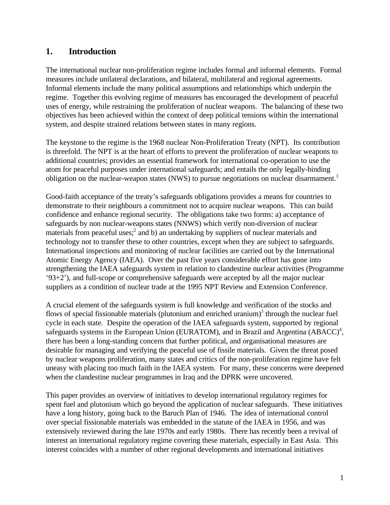# **1. Introduction**

The international nuclear non-proliferation regime includes formal and informal elements. Formal measures include unilateral declarations, and bilateral, multilateral and regional agreements. Informal elements include the many political assumptions and relationships which underpin the regime. Together this evolving regime of measures has encouraged the development of peaceful uses of energy, while restraining the proliferation of nuclear weapons. The balancing of these two objectives has been achieved within the context of deep political tensions within the international system, and despite strained relations between states in many regions.

The keystone to the regime is the 1968 nuclear Non-Proliferation Treaty (NPT). Its contribution is threefold. The NPT is at the heart of efforts to prevent the proliferation of nuclear weapons to additional countries; provides an essential framework for international co-operation to use the atom for peaceful purposes under international safeguards; and entails the only legally-binding obligation on the nuclear-weapon states (NWS) to pursue negotiations on nuclear disarmament.<sup>1</sup>

Good-faith acceptance of the treaty's safeguards obligations provides a means for countries to demonstrate to their neighbours a commitment not to acquire nuclear weapons. This can build confidence and enhance regional security. The obligations take two forms: a) acceptance of safeguards by non nuclear-weapons states (NNWS) which verify non-diversion of nuclear materials from peaceful uses;<sup>2</sup> and b) an undertaking by suppliers of nuclear materials and technology not to transfer these to other countries, except when they are subject to safeguards. International inspections and monitoring of nuclear facilities are carried out by the International Atomic Energy Agency (IAEA). Over the past five years considerable effort has gone into strengthening the IAEA safeguards system in relation to clandestine nuclear activities (Programme '93+2'), and full-scope or comprehensive safeguards were accepted by all the major nuclear suppliers as a condition of nuclear trade at the 1995 NPT Review and Extension Conference.

A crucial element of the safeguards system is full knowledge and verification of the stocks and flows of special fissionable materials (plutonium and enriched uranium) $3$  through the nuclear fuel cycle in each state. Despite the operation of the IAEA safeguards system, supported by regional safeguards systems in the European Union (EURATOM), and in Brazil and Argentina (ABACC)<sup>4</sup>, there has been a long-standing concern that further political, and organisational measures are desirable for managing and verifying the peaceful use of fissile materials. Given the threat posed by nuclear weapons proliferation, many states and critics of the non-proliferation regime have felt uneasy with placing too much faith in the IAEA system. For many, these concerns were deepened when the clandestine nuclear programmes in Iraq and the DPRK were uncovered.

This paper provides an overview of initiatives to develop international regulatory regimes for spent fuel and plutonium which go beyond the application of nuclear safeguards. These initiatives have a long history, going back to the Baruch Plan of 1946. The idea of international control over special fissionable materials was embedded in the statute of the IAEA in 1956, and was extensively reviewed during the late 1970s and early 1980s. There has recently been a revival of interest an international regulatory regime covering these materials, especially in East Asia. This interest coincides with a number of other regional developments and international initiatives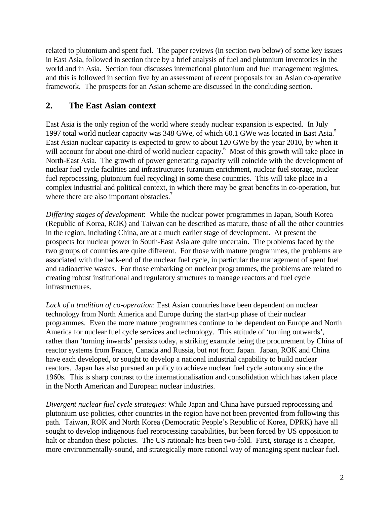related to plutonium and spent fuel. The paper reviews (in section two below) of some key issues in East Asia, followed in section three by a brief analysis of fuel and plutonium inventories in the world and in Asia. Section four discusses international plutonium and fuel management regimes, and this is followed in section five by an assessment of recent proposals for an Asian co-operative framework. The prospects for an Asian scheme are discussed in the concluding section.

# **2. The East Asian context**

East Asia is the only region of the world where steady nuclear expansion is expected. In July 1997 total world nuclear capacity was 348 GWe, of which 60.1 GWe was located in East Asia.<sup>5</sup> East Asian nuclear capacity is expected to grow to about 120 GWe by the year 2010, by when it will account for about one-third of world nuclear capacity.<sup>6</sup> Most of this growth will take place in North-East Asia. The growth of power generating capacity will coincide with the development of nuclear fuel cycle facilities and infrastructures (uranium enrichment, nuclear fuel storage, nuclear fuel reprocessing, plutonium fuel recycling) in some these countries. This will take place in a complex industrial and political context, in which there may be great benefits in co-operation, but where there are also important obstacles.<sup>7</sup>

*Differing stages of development*: While the nuclear power programmes in Japan, South Korea (Republic of Korea, ROK) and Taiwan can be described as mature, those of all the other countries in the region, including China, are at a much earlier stage of development. At present the prospects for nuclear power in South-East Asia are quite uncertain. The problems faced by the two groups of countries are quite different. For those with mature programmes, the problems are associated with the back-end of the nuclear fuel cycle, in particular the management of spent fuel and radioactive wastes. For those embarking on nuclear programmes, the problems are related to creating robust institutional and regulatory structures to manage reactors and fuel cycle infrastructures.

*Lack of a tradition of co-operation*: East Asian countries have been dependent on nuclear technology from North America and Europe during the start-up phase of their nuclear programmes. Even the more mature programmes continue to be dependent on Europe and North America for nuclear fuel cycle services and technology. This attitude of 'turning outwards', rather than 'turning inwards' persists today, a striking example being the procurement by China of reactor systems from France, Canada and Russia, but not from Japan. Japan, ROK and China have each developed, or sought to develop a national industrial capability to build nuclear reactors. Japan has also pursued an policy to achieve nuclear fuel cycle autonomy since the 1960s. This is sharp contrast to the internationalisation and consolidation which has taken place in the North American and European nuclear industries.

*Divergent nuclear fuel cycle strategies*: While Japan and China have pursued reprocessing and plutonium use policies, other countries in the region have not been prevented from following this path. Taiwan, ROK and North Korea (Democratic People's Republic of Korea, DPRK) have all sought to develop indigenous fuel reprocessing capabilities, but been forced by US opposition to halt or abandon these policies. The US rationale has been two-fold. First, storage is a cheaper, more environmentally-sound, and strategically more rational way of managing spent nuclear fuel.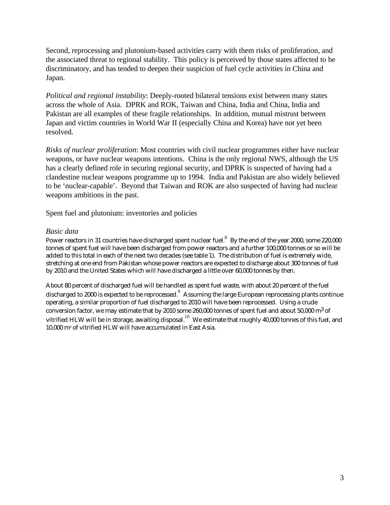Second, reprocessing and plutonium-based activities carry with them risks of proliferation, and the associated threat to regional stability. This policy is perceived by those states affected to be discriminatory, and has tended to deepen their suspicion of fuel cycle activities in China and Japan.

*Political and regional instability*: Deeply-rooted bilateral tensions exist between many states across the whole of Asia. DPRK and ROK, Taiwan and China, India and China, India and Pakistan are all examples of these fragile relationships. In addition, mutual mistrust between Japan and victim countries in World War II (especially China and Korea) have not yet been resolved.

*Risks of nuclear proliferation*: Most countries with civil nuclear programmes either have nuclear weapons, or have nuclear weapons intentions. China is the only regional NWS, although the US has a clearly defined role in securing regional security, and DPRK is suspected of having had a clandestine nuclear weapons programme up to 1994. India and Pakistan are also widely believed to be 'nuclear-capable'. Beyond that Taiwan and ROK are also suspected of having had nuclear weapons ambitions in the past.

Spent fuel and plutonium: inventories and policies

#### *Basic data*

Power reactors in 31 countries have discharged spent nuclear fuel. $^8\,$  By the end of the year 2000, some 220,000 tonnes of spent fuel will have been discharged from power reactors and a further 100,000 tonnes or so will be added to this total in each of the next two decades (see table 1). The distribution of fuel is extremely wide, stretching at one end from Pakistan whose power reactors are expected to discharge about 300 tonnes of fuel by 2010 and the United States which will have discharged a little over 60,000 tonnes by then.

About 80 percent of discharged fuel will be handled as spent fuel waste, with about 20 percent of the fuel discharged to 2000 is expected to be reprocessed. Assuming the large European reprocessing plants continue operating, a similar proportion of fuel discharged to 2010 will have been reprocessed. Using a crude conversion factor, we may estimate that by 2010 some 260,000 tonnes of spent fuel and about 50,000  $\mathrm{m}^{3}$  of vitrified HLW will be in storage, awaiting disposal.<sup>10</sup> We estimate that roughly 40,000 tonnes of this fuel, and 10,000 m<sup>3</sup> of vitrified HLW will have accumulated in East Asia.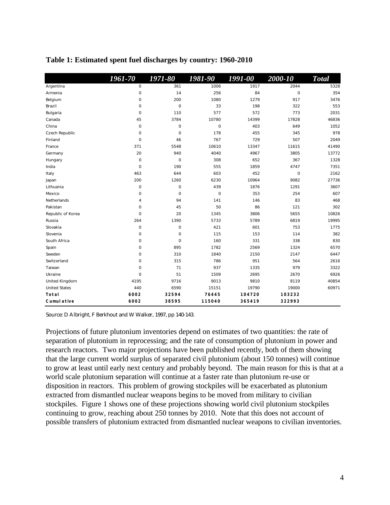|                      | 1961-70      | 1971-80     | 1981-90     | 1991-00 | 2000-10        | <b>Total</b> |
|----------------------|--------------|-------------|-------------|---------|----------------|--------------|
| Argentina            | $\circ$      | 361         | 1006        | 1917    | 2044           | 5328         |
| Armenia              | 0            | 14          | 256         | 84      | $\overline{O}$ | 354          |
| Belgium              | 0            | 200         | 1080        | 1279    | 917            | 3476         |
| Brazil               | 0            | $\mathbf 0$ | 33          | 198     | 322            | 553          |
| Bulgaria             | 0            | 110         | 577         | 572     | 773            | 2031         |
| Canada               | 45           | 3784        | 10780       | 14399   | 17828          | 46836        |
| China                | 0            | 0           | $\circ$     | 403     | 649            | 1052         |
| Czech Republic       | 0            | 0           | 178         | 455     | 345            | 978          |
| Finland              | $\mathbf 0$  | 46          | 767         | 729     | 507            | 2049         |
| France               | 371          | 5548        | 10610       | 13347   | 11615          | 41490        |
| Germany              | 20           | 940         | 4040        | 4967    | 3805           | 13772        |
| Hungary              | $\mathbf 0$  | 0           | 308         | 652     | 367            | 1328         |
| India                | $\mathbf 0$  | 190         | 555         | 1859    | 4747           | 7351         |
| Italy                | 463          | 644         | 603         | 452     | $\mathbf 0$    | 2162         |
| Japan                | 200          | 1260        | 6230        | 10964   | 9082           | 27736        |
| Lithuania            | 0            | 0           | 439         | 1876    | 1291           | 3607         |
| Mexico               | 0            | 0           | $\mathsf O$ | 353     | 254            | 607          |
| Netherlands          | 4            | 94          | 141         | 146     | 83             | 468          |
| Pakistan             | 0            | 45          | 50          | 86      | 121            | 302          |
| Republic of Korea    | $\mathbf 0$  | 20          | 1345        | 3806    | 5655           | 10826        |
| Russia               | 264          | 1390        | 5733        | 5789    | 6819           | 19995        |
| Slovakia             | 0            | 0           | 421         | 601     | 753            | 1775         |
| Slovenia             | $\mathbf 0$  | 0           | 115         | 153     | 114            | 382          |
| South Africa         | 0            | 0           | 160         | 331     | 338            | 830          |
| Spain                | $\circ$      | 895         | 1782        | 2569    | 1324           | 6570         |
| Sweden               | $\circ$      | 310         | 1840        | 2150    | 2147           | 6447         |
| Switzerland          | $\circ$      | 315         | 786         | 951     | 564            | 2616         |
| Taiwan               | $\mathsf{O}$ | 71          | 937         | 1335    | 979            | 3322         |
| Ukraine              | 0            | 51          | 1509        | 2695    | 2670           | 6926         |
| United Kingdom       | 4195         | 9716        | 9013        | 9810    | 8119           | 40854        |
| <b>United States</b> | 440          | 6590        | 15151       | 19790   | 19000          | 60971        |
| <b>Total</b>         | 6002         | 32594       | 76445       | 104720  | 103232         |              |
| <b>Cumulative</b>    | 6002         | 38595       | 115040      | 365419  | 322993         |              |

#### **Table 1: Estimated spent fuel discharges by country: 1960-2010**

Source: D Albright, F Berkhout and W Walker, 1997, pp 140-143.

Projections of future plutonium inventories depend on estimates of two quantities: the rate of separation of plutonium in reprocessing; and the rate of consumption of plutonium in power and research reactors. Two major projections have been published recently, both of them showing that the large current world surplus of separated civil plutonium (about 150 tonnes) will continue to grow at least until early next century and probably beyond. The main reason for this is that at a world scale plutonium separation will continue at a faster rate than plutonium re-use or disposition in reactors. This problem of growing stockpiles will be exacerbated as plutonium extracted from dismantled nuclear weapons begins to be moved from military to civilian stockpiles. Figure 1 shows one of these projections showing world civil plutonium stockpiles continuing to grow, reaching about 250 tonnes by 2010. Note that this does not account of possible transfers of plutonium extracted from dismantled nuclear weapons to civilian inventories.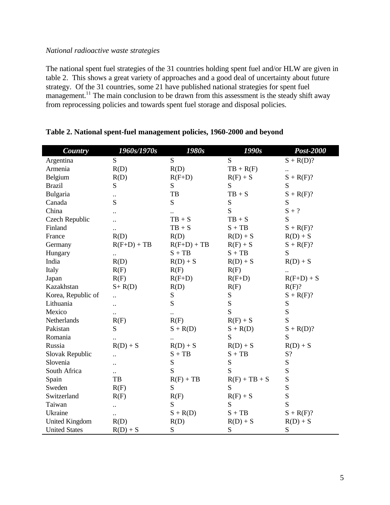#### *National radioactive waste strategies*

The national spent fuel strategies of the 31 countries holding spent fuel and/or HLW are given in table 2. This shows a great variety of approaches and a good deal of uncertainty about future strategy. Of the 31 countries, some 21 have published national strategies for spent fuel management.<sup>11</sup> The main conclusion to be drawn from this assessment is the steady shift away from reprocessing policies and towards spent fuel storage and disposal policies.

| Country               | 1960s/1970s          | 1980s         | 1990s           | Post-2000    |
|-----------------------|----------------------|---------------|-----------------|--------------|
| Argentina             | S                    | S             | S               | $S + R(D)?$  |
| Armenia               | R(D)                 | R(D)          | $TB + R(F)$     |              |
| Belgium               | R(D)                 | $R(F+D)$      | $R(F) + S$      | $S + R(F)?$  |
| <b>Brazil</b>         | ${\bf S}$            | ${\bf S}$     | S               | S            |
| Bulgaria              |                      | TB            | $TB + S$        | $S + R(F)?$  |
| Canada                | S                    | S             | S               | S            |
| China                 |                      |               | S               | $S + ?$      |
| Czech Republic        |                      | $TB + S$      | $TB + S$        | S            |
| Finland               | $\ddot{\phantom{a}}$ | $TB + S$      | $S + TB$        | $S + R(F)?$  |
| France                | R(D)                 | R(D)          | $R(D) + S$      | $R(D) + S$   |
| Germany               | $R(F+D) + TB$        | $R(F+D) + TB$ | $R(F) + S$      | $S + R(F)?$  |
| Hungary               | $\ddot{\phantom{0}}$ | $S + TB$      | $S + TB$        | ${\bf S}$    |
| India                 | R(D)                 | $R(D) + S$    | $R(D) + S$      | $R(D) + S$   |
| Italy                 | R(F)                 | R(F)          | R(F)            |              |
| Japan                 | R(F)                 | $R(F+D)$      | $R(F+D)$        | $R(F+D) + S$ |
| Kazakhstan            | $S+R(D)$             | R(D)          | R(F)            | R(F)?        |
| Korea, Republic of    | $\ddot{\phantom{a}}$ | ${\bf S}$     | ${\bf S}$       | $S + R(F)?$  |
| Lithuania             | $\ddot{\phantom{a}}$ | S             | S               | ${\bf S}$    |
| Mexico                | $\ddot{\phantom{a}}$ |               | S               | ${\bf S}$    |
| Netherlands           | R(F)                 | R(F)          | $R(F) + S$      | S            |
| Pakistan              | S                    | $S + R(D)$    | $S + R(D)$      | $S + R(D)?$  |
| Romania               |                      | $\ddotsc$     | S               | ${\bf S}$    |
| Russia                | $R(D) + S$           | $R(D) + S$    | $R(D) + S$      | $R(D) + S$   |
| Slovak Republic       |                      | $S + TB$      | $S + TB$        | S?           |
| Slovenia              | $\ddot{\phantom{a}}$ | ${\bf S}$     | S               | ${\bf S}$    |
| South Africa          |                      | S             | S               | S            |
| Spain                 | TB                   | $R(F) + TB$   | $R(F) + TB + S$ | S            |
| Sweden                | R(F)                 | S             | S               | S            |
| Switzerland           | R(F)                 | R(F)          | $R(F) + S$      | S            |
| Taiwan                | $\ddot{\phantom{a}}$ | S             | S               | S            |
| Ukraine               | $\ddot{\phantom{a}}$ | $S + R(D)$    | $S + TB$        | $S + R(F)?$  |
| <b>United Kingdom</b> | R(D)                 | R(D)          | $R(D) + S$      | $R(D) + S$   |
| <b>United States</b>  | $R(D) + S$           | S             | S               | S            |

#### **Table 2. National spent-fuel management policies, 1960-2000 and beyond**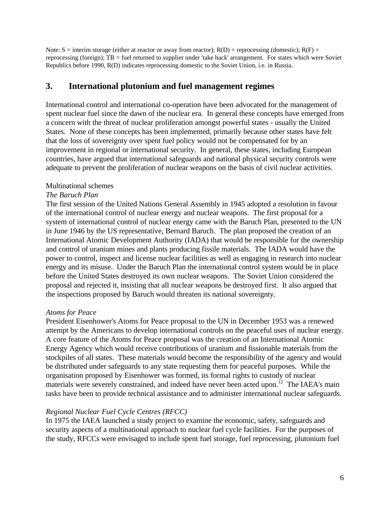Note:  $S =$  interim storage (either at reactor or away from reactor);  $R(D) =$  reprocessing (domestic);  $R(F) =$ reprocessing (foreign); TB = fuel returned to supplier under 'take back' arrangement. For states which were Soviet Republics before 1990, R(D) indicates reprocessing domestic to the Soviet Union, i.e. in Russia.

## **3. International plutonium and fuel management regimes**

International control and international co-operation have been advocated for the management of spent nuclear fuel since the dawn of the nuclear era. In general these concepts have emerged from a concern with the threat of nuclear proliferation amongst powerful states - usually the United States. None of these concepts has been implemented, primarily because other states have felt that the loss of sovereignty over spent fuel policy would not be compensated for by an improvement in regional or international security. In general, these states, including European countries, have argued that international safeguards and national physical security controls were adequate to prevent the proliferation of nuclear weapons on the basis of civil nuclear activities.

#### Multinational schemes

## *The Baruch Plan*

The first session of the United Nations General Assembly in 1945 adopted a resolution in favour of the international control of nuclear energy and nuclear weapons. The first proposal for a system of international control of nuclear energy came with the Baruch Plan, presented to the UN in June 1946 by the US representative, Bernard Baruch. The plan proposed the creation of an International Atomic Development Authority (IADA) that would be responsible for the ownership and control of uranium mines and plants producing fissile materials. The IADA would have the power to control, inspect and license nuclear facilities as well as engaging in research into nuclear energy and its misuse. Under the Baruch Plan the international control system would be in place before the United States destroyed its own nuclear weapons. The Soviet Union considered the proposal and rejected it, insisting that all nuclear weapons be destroyed first. It also argued that the inspections proposed by Baruch would threaten its national sovereignty.

## *Atoms for Peace*

President Eisenhower's Atoms for Peace proposal to the UN in December 1953 was a renewed attempt by the Americans to develop international controls on the peaceful uses of nuclear energy. A core feature of the Atoms for Peace proposal was the creation of an International Atomic Energy Agency which would receive contributions of uranium and fissionable materials from the stockpiles of all states. These materials would become the responsibility of the agency and would be distributed under safeguards to any state requesting them for peaceful purposes. While the organisation proposed by Eisenhower was formed, its formal rights to custody of nuclear materials were severely constrained, and indeed have never been acted upon.<sup>12</sup> The IAEA's main tasks have been to provide technical assistance and to administer international nuclear safeguards.

## *Regional Nuclear Fuel Cycle Centres (RFCC)*

In 1975 the IAEA launched a study project to examine the economic, safety, safeguards and security aspects of a multinational approach to nuclear fuel cycle facilities. For the purposes of the study, RFCCs were envisaged to include spent fuel storage, fuel reprocessing, plutonium fuel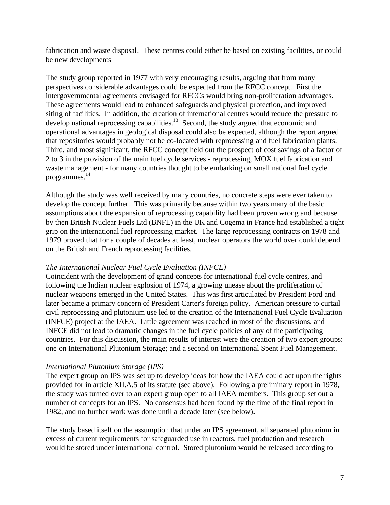fabrication and waste disposal. These centres could either be based on existing facilities, or could be new developments

The study group reported in 1977 with very encouraging results, arguing that from many perspectives considerable advantages could be expected from the RFCC concept. First the intergovernmental agreements envisaged for RFCCs would bring non-proliferation advantages. These agreements would lead to enhanced safeguards and physical protection, and improved siting of facilities. In addition, the creation of international centres would reduce the pressure to develop national reprocessing capabilities.<sup>13</sup> Second, the study argued that economic and operational advantages in geological disposal could also be expected, although the report argued that repositories would probably not be co-located with reprocessing and fuel fabrication plants. Third, and most significant, the RFCC concept held out the prospect of cost savings of a factor of 2 to 3 in the provision of the main fuel cycle services - reprocessing, MOX fuel fabrication and waste management - for many countries thought to be embarking on small national fuel cycle programmes. 14

Although the study was well received by many countries, no concrete steps were ever taken to develop the concept further. This was primarily because within two years many of the basic assumptions about the expansion of reprocessing capability had been proven wrong and because by then British Nuclear Fuels Ltd (BNFL) in the UK and Cogema in France had established a tight grip on the international fuel reprocessing market. The large reprocessing contracts on 1978 and 1979 proved that for a couple of decades at least, nuclear operators the world over could depend on the British and French reprocessing facilities.

#### *The International Nuclear Fuel Cycle Evaluation (INFCE)*

Coincident with the development of grand concepts for international fuel cycle centres, and following the Indian nuclear explosion of 1974, a growing unease about the proliferation of nuclear weapons emerged in the United States. This was first articulated by President Ford and later became a primary concern of President Carter's foreign policy. American pressure to curtail civil reprocessing and plutonium use led to the creation of the International Fuel Cycle Evaluation (INFCE) project at the IAEA. Little agreement was reached in most of the discussions, and INFCE did not lead to dramatic changes in the fuel cycle policies of any of the participating countries. For this discussion, the main results of interest were the creation of two expert groups: one on International Plutonium Storage; and a second on International Spent Fuel Management.

## *International Plutonium Storage (IPS)*

The expert group on IPS was set up to develop ideas for how the IAEA could act upon the rights provided for in article XII.A.5 of its statute (see above). Following a preliminary report in 1978, the study was turned over to an expert group open to all IAEA members. This group set out a number of concepts for an IPS. No consensus had been found by the time of the final report in 1982, and no further work was done until a decade later (see below).

The study based itself on the assumption that under an IPS agreement, all separated plutonium in excess of current requirements for safeguarded use in reactors, fuel production and research would be stored under international control. Stored plutonium would be released according to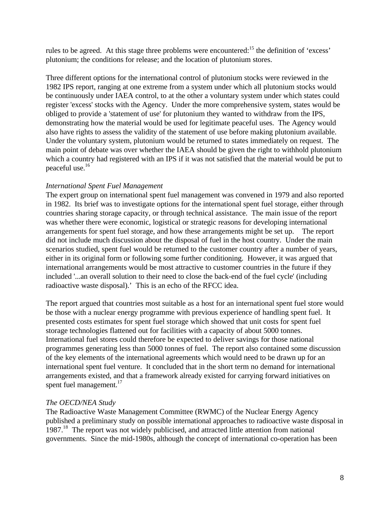rules to be agreed. At this stage three problems were encountered:<sup>15</sup> the definition of 'excess' plutonium; the conditions for release; and the location of plutonium stores.

Three different options for the international control of plutonium stocks were reviewed in the 1982 IPS report, ranging at one extreme from a system under which all plutonium stocks would be continuously under IAEA control, to at the other a voluntary system under which states could register 'excess' stocks with the Agency. Under the more comprehensive system, states would be obliged to provide a 'statement of use' for plutonium they wanted to withdraw from the IPS, demonstrating how the material would be used for legitimate peaceful uses. The Agency would also have rights to assess the validity of the statement of use before making plutonium available. Under the voluntary system, plutonium would be returned to states immediately on request. The main point of debate was over whether the IAEA should be given the right to withhold plutonium which a country had registered with an IPS if it was not satisfied that the material would be put to peaceful use.<sup>16</sup>

## *International Spent Fuel Management*

The expert group on international spent fuel management was convened in 1979 and also reported in 1982. Its brief was to investigate options for the international spent fuel storage, either through countries sharing storage capacity, or through technical assistance. The main issue of the report was whether there were economic, logistical or strategic reasons for developing international arrangements for spent fuel storage, and how these arrangements might be set up. The report did not include much discussion about the disposal of fuel in the host country. Under the main scenarios studied, spent fuel would be returned to the customer country after a number of years, either in its original form or following some further conditioning. However, it was argued that international arrangements would be most attractive to customer countries in the future if they included '...an overall solution to their need to close the back-end of the fuel cycle' (including radioactive waste disposal).' This is an echo of the RFCC idea.

The report argued that countries most suitable as a host for an international spent fuel store would be those with a nuclear energy programme with previous experience of handling spent fuel. It presented costs estimates for spent fuel storage which showed that unit costs for spent fuel storage technologies flattened out for facilities with a capacity of about 5000 tonnes. International fuel stores could therefore be expected to deliver savings for those national programmes generating less than 5000 tonnes of fuel. The report also contained some discussion of the key elements of the international agreements which would need to be drawn up for an international spent fuel venture. It concluded that in the short term no demand for international arrangements existed, and that a framework already existed for carrying forward initiatives on spent fuel management.<sup>17</sup>

## *The OECD/NEA Study*

The Radioactive Waste Management Committee (RWMC) of the Nuclear Energy Agency published a preliminary study on possible international approaches to radioactive waste disposal in 1987.<sup>18</sup> The report was not widely publicised, and attracted little attention from national governments. Since the mid-1980s, although the concept of international co-operation has been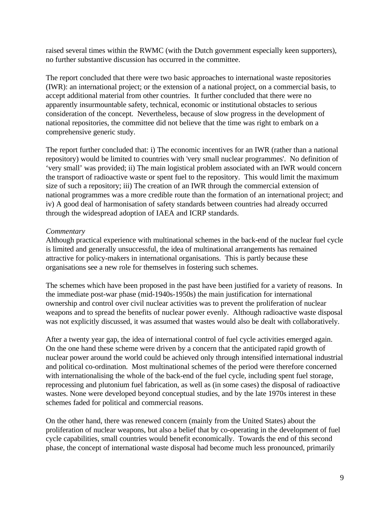raised several times within the RWMC (with the Dutch government especially keen supporters), no further substantive discussion has occurred in the committee.

The report concluded that there were two basic approaches to international waste repositories (IWR): an international project; or the extension of a national project, on a commercial basis, to accept additional material from other countries. It further concluded that there were no apparently insurmountable safety, technical, economic or institutional obstacles to serious consideration of the concept. Nevertheless, because of slow progress in the development of national repositories, the committee did not believe that the time was right to embark on a comprehensive generic study.

The report further concluded that: i) The economic incentives for an IWR (rather than a national repository) would be limited to countries with 'very small nuclear programmes'. No definition of 'very small' was provided; ii) The main logistical problem associated with an IWR would concern the transport of radioactive waste or spent fuel to the repository. This would limit the maximum size of such a repository; iii) The creation of an IWR through the commercial extension of national programmes was a more credible route than the formation of an international project; and iv) A good deal of harmonisation of safety standards between countries had already occurred through the widespread adoption of IAEA and ICRP standards.

## *Commentary*

Although practical experience with multinational schemes in the back-end of the nuclear fuel cycle is limited and generally unsuccessful, the idea of multinational arrangements has remained attractive for policy-makers in international organisations. This is partly because these organisations see a new role for themselves in fostering such schemes.

The schemes which have been proposed in the past have been justified for a variety of reasons. In the immediate post-war phase (mid-1940s-1950s) the main justification for international ownership and control over civil nuclear activities was to prevent the proliferation of nuclear weapons and to spread the benefits of nuclear power evenly. Although radioactive waste disposal was not explicitly discussed, it was assumed that wastes would also be dealt with collaboratively.

After a twenty year gap, the idea of international control of fuel cycle activities emerged again. On the one hand these scheme were driven by a concern that the anticipated rapid growth of nuclear power around the world could be achieved only through intensified international industrial and political co-ordination. Most multinational schemes of the period were therefore concerned with internationalising the whole of the back-end of the fuel cycle, including spent fuel storage, reprocessing and plutonium fuel fabrication, as well as (in some cases) the disposal of radioactive wastes. None were developed beyond conceptual studies, and by the late 1970s interest in these schemes faded for political and commercial reasons.

On the other hand, there was renewed concern (mainly from the United States) about the proliferation of nuclear weapons, but also a belief that by co-operating in the development of fuel cycle capabilities, small countries would benefit economically. Towards the end of this second phase, the concept of international waste disposal had become much less pronounced, primarily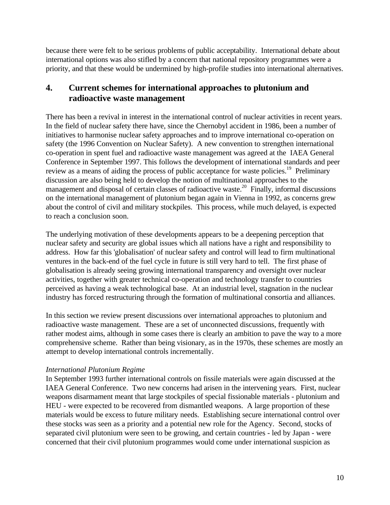because there were felt to be serious problems of public acceptability. International debate about international options was also stifled by a concern that national repository programmes were a priority, and that these would be undermined by high-profile studies into international alternatives.

# **4. Current schemes for international approaches to plutonium and radioactive waste management**

There has been a revival in interest in the international control of nuclear activities in recent years. In the field of nuclear safety there have, since the Chernobyl accident in 1986, been a number of initiatives to harmonise nuclear safety approaches and to improve international co-operation on safety (the 1996 Convention on Nuclear Safety). A new convention to strengthen international co-operation in spent fuel and radioactive waste management was agreed at the IAEA General Conference in September 1997. This follows the development of international standards and peer review as a means of aiding the process of public acceptance for waste policies.<sup>19</sup> Preliminary discussion are also being held to develop the notion of multinational approaches to the management and disposal of certain classes of radioactive waste.<sup>20</sup> Finally, informal discussions on the international management of plutonium began again in Vienna in 1992, as concerns grew about the control of civil and military stockpiles. This process, while much delayed, is expected to reach a conclusion soon.

The underlying motivation of these developments appears to be a deepening perception that nuclear safety and security are global issues which all nations have a right and responsibility to address. How far this 'globalisation' of nuclear safety and control will lead to firm multinational ventures in the back-end of the fuel cycle in future is still very hard to tell. The first phase of globalisation is already seeing growing international transparency and oversight over nuclear activities, together with greater technical co-operation and technology transfer to countries perceived as having a weak technological base. At an industrial level, stagnation in the nuclear industry has forced restructuring through the formation of multinational consortia and alliances.

In this section we review present discussions over international approaches to plutonium and radioactive waste management. These are a set of unconnected discussions, frequently with rather modest aims, although in some cases there is clearly an ambition to pave the way to a more comprehensive scheme. Rather than being visionary, as in the 1970s, these schemes are mostly an attempt to develop international controls incrementally.

## *International Plutonium Regime*

In September 1993 further international controls on fissile materials were again discussed at the IAEA General Conference. Two new concerns had arisen in the intervening years. First, nuclear weapons disarmament meant that large stockpiles of special fissionable materials - plutonium and HEU - were expected to be recovered from dismantled weapons. A large proportion of these materials would be excess to future military needs. Establishing secure international control over these stocks was seen as a priority and a potential new role for the Agency. Second, stocks of separated civil plutonium were seen to be growing, and certain countries - led by Japan - were concerned that their civil plutonium programmes would come under international suspicion as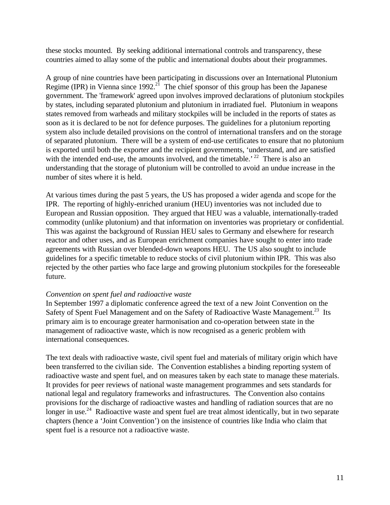these stocks mounted. By seeking additional international controls and transparency, these countries aimed to allay some of the public and international doubts about their programmes.

A group of nine countries have been participating in discussions over an International Plutonium Regime (IPR) in Vienna since 1992.<sup>21</sup> The chief sponsor of this group has been the Japanese government. The 'framework' agreed upon involves improved declarations of plutonium stockpiles by states, including separated plutonium and plutonium in irradiated fuel. Plutonium in weapons states removed from warheads and military stockpiles will be included in the reports of states as soon as it is declared to be not for defence purposes. The guidelines for a plutonium reporting system also include detailed provisions on the control of international transfers and on the storage of separated plutonium. There will be a system of end-use certificates to ensure that no plutonium is exported until both the exporter and the recipient governments, 'understand, and are satisfied with the intended end-use, the amounts involved, and the timetable.<sup>' 22</sup> There is also an understanding that the storage of plutonium will be controlled to avoid an undue increase in the number of sites where it is held.

At various times during the past 5 years, the US has proposed a wider agenda and scope for the IPR. The reporting of highly-enriched uranium (HEU) inventories was not included due to European and Russian opposition. They argued that HEU was a valuable, internationally-traded commodity (unlike plutonium) and that information on inventories was proprietary or confidential. This was against the background of Russian HEU sales to Germany and elsewhere for research reactor and other uses, and as European enrichment companies have sought to enter into trade agreements with Russian over blended-down weapons HEU. The US also sought to include guidelines for a specific timetable to reduce stocks of civil plutonium within IPR. This was also rejected by the other parties who face large and growing plutonium stockpiles for the foreseeable future.

#### *Convention on spent fuel and radioactive waste*

In September 1997 a diplomatic conference agreed the text of a new Joint Convention on the Safety of Spent Fuel Management and on the Safety of Radioactive Waste Management.<sup>23</sup> Its primary aim is to encourage greater harmonisation and co-operation between state in the management of radioactive waste, which is now recognised as a generic problem with international consequences.

The text deals with radioactive waste, civil spent fuel and materials of military origin which have been transferred to the civilian side. The Convention establishes a binding reporting system of radioactive waste and spent fuel, and on measures taken by each state to manage these materials. It provides for peer reviews of national waste management programmes and sets standards for national legal and regulatory frameworks and infrastructures. The Convention also contains provisions for the discharge of radioactive wastes and handling of radiation sources that are no longer in use.<sup>24</sup> Radioactive waste and spent fuel are treat almost identically, but in two separate chapters (hence a 'Joint Convention') on the insistence of countries like India who claim that spent fuel is a resource not a radioactive waste.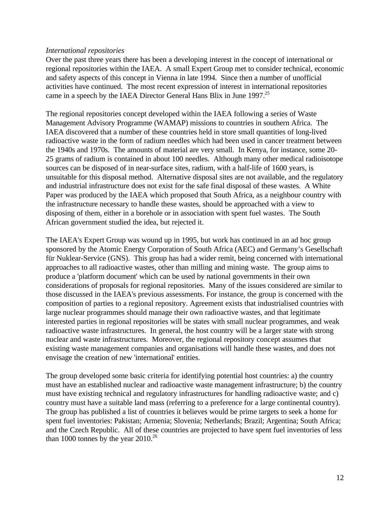#### *International repositories*

Over the past three years there has been a developing interest in the concept of international or regional repositories within the IAEA. A small Expert Group met to consider technical, economic and safety aspects of this concept in Vienna in late 1994. Since then a number of unofficial activities have continued. The most recent expression of interest in international repositories came in a speech by the IAEA Director General Hans Blix in June  $1997$ <sup>25</sup>

The regional repositories concept developed within the IAEA following a series of Waste Management Advisory Programme (WAMAP) missions to countries in southern Africa. The IAEA discovered that a number of these countries held in store small quantities of long-lived radioactive waste in the form of radium needles which had been used in cancer treatment between the 1940s and 1970s. The amounts of material are very small. In Kenya, for instance, some 20- 25 grams of radium is contained in about 100 needles. Although many other medical radioisotope sources can be disposed of in near-surface sites, radium, with a half-life of 1600 years, is unsuitable for this disposal method. Alternative disposal sites are not available, and the regulatory and industrial infrastructure does not exist for the safe final disposal of these wastes. A White Paper was produced by the IAEA which proposed that South Africa, as a neighbour country with the infrastructure necessary to handle these wastes, should be approached with a view to disposing of them, either in a borehole or in association with spent fuel wastes. The South African government studied the idea, but rejected it.

The IAEA's Expert Group was wound up in 1995, but work has continued in an ad hoc group sponsored by the Atomic Energy Corporation of South Africa (AEC) and Germany's Gesellschaft für Nuklear-Service (GNS). This group has had a wider remit, being concerned with international approaches to all radioactive wastes, other than milling and mining waste. The group aims to produce a 'platform document' which can be used by national governments in their own considerations of proposals for regional repositories. Many of the issues considered are similar to those discussed in the IAEA's previous assessments. For instance, the group is concerned with the composition of parties to a regional repository. Agreement exists that industrialised countries with large nuclear programmes should manage their own radioactive wastes, and that legitimate interested parties in regional repositories will be states with small nuclear programmes, and weak radioactive waste infrastructures. In general, the host country will be a larger state with strong nuclear and waste infrastructures. Moreover, the regional repository concept assumes that existing waste management companies and organisations will handle these wastes, and does not envisage the creation of new 'international' entities.

The group developed some basic criteria for identifying potential host countries: a) the country must have an established nuclear and radioactive waste management infrastructure; b) the country must have existing technical and regulatory infrastructures for handling radioactive waste; and c) country must have a suitable land mass (referring to a preference for a large continental country). The group has published a list of countries it believes would be prime targets to seek a home for spent fuel inventories: Pakistan; Armenia; Slovenia; Netherlands; Brazil; Argentina; South Africa; and the Czech Republic. All of these countries are projected to have spent fuel inventories of less than 1000 tonnes by the year  $2010^{26}$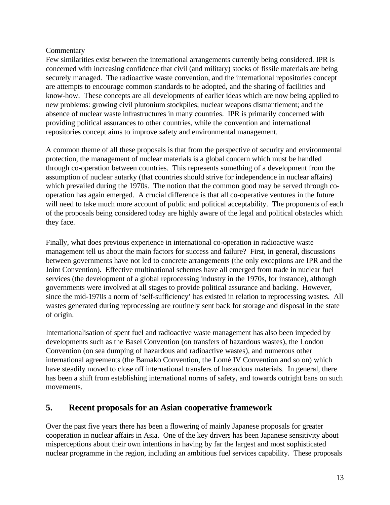## **Commentary**

Few similarities exist between the international arrangements currently being considered. IPR is concerned with increasing confidence that civil (and military) stocks of fissile materials are being securely managed. The radioactive waste convention, and the international repositories concept are attempts to encourage common standards to be adopted, and the sharing of facilities and know-how. These concepts are all developments of earlier ideas which are now being applied to new problems: growing civil plutonium stockpiles; nuclear weapons dismantlement; and the absence of nuclear waste infrastructures in many countries. IPR is primarily concerned with providing political assurances to other countries, while the convention and international repositories concept aims to improve safety and environmental management.

A common theme of all these proposals is that from the perspective of security and environmental protection, the management of nuclear materials is a global concern which must be handled through co-operation between countries. This represents something of a development from the assumption of nuclear autarky (that countries should strive for independence in nuclear affairs) which prevailed during the 1970s. The notion that the common good may be served through cooperation has again emerged. A crucial difference is that all co-operative ventures in the future will need to take much more account of public and political acceptability. The proponents of each of the proposals being considered today are highly aware of the legal and political obstacles which they face.

Finally, what does previous experience in international co-operation in radioactive waste management tell us about the main factors for success and failure? First, in general, discussions between governments have not led to concrete arrangements (the only exceptions are IPR and the Joint Convention). Effective multinational schemes have all emerged from trade in nuclear fuel services (the development of a global reprocessing industry in the 1970s, for instance), although governments were involved at all stages to provide political assurance and backing. However, since the mid-1970s a norm of 'self-sufficiency' has existed in relation to reprocessing wastes. All wastes generated during reprocessing are routinely sent back for storage and disposal in the state of origin.

Internationalisation of spent fuel and radioactive waste management has also been impeded by developments such as the Basel Convention (on transfers of hazardous wastes), the London Convention (on sea dumping of hazardous and radioactive wastes), and numerous other international agreements (the Bamako Convention, the Lomé IV Convention and so on) which have steadily moved to close off international transfers of hazardous materials. In general, there has been a shift from establishing international norms of safety, and towards outright bans on such movements.

# **5. Recent proposals for an Asian cooperative framework**

Over the past five years there has been a flowering of mainly Japanese proposals for greater cooperation in nuclear affairs in Asia. One of the key drivers has been Japanese sensitivity about misperceptions about their own intentions in having by far the largest and most sophisticated nuclear programme in the region, including an ambitious fuel services capability. These proposals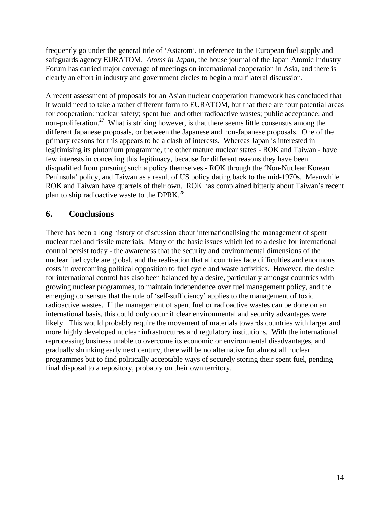frequently go under the general title of 'Asiatom', in reference to the European fuel supply and safeguards agency EURATOM. *Atoms in Japan*, the house journal of the Japan Atomic Industry Forum has carried major coverage of meetings on international cooperation in Asia, and there is clearly an effort in industry and government circles to begin a multilateral discussion.

A recent assessment of proposals for an Asian nuclear cooperation framework has concluded that it would need to take a rather different form to EURATOM, but that there are four potential areas for cooperation: nuclear safety; spent fuel and other radioactive wastes; public acceptance; and non-proliferation.<sup>27</sup> What is striking however, is that there seems little consensus among the different Japanese proposals, or between the Japanese and non-Japanese proposals. One of the primary reasons for this appears to be a clash of interests. Whereas Japan is interested in legitimising its plutonium programme, the other mature nuclear states - ROK and Taiwan - have few interests in conceding this legitimacy, because for different reasons they have been disqualified from pursuing such a policy themselves - ROK through the 'Non-Nuclear Korean Peninsula' policy, and Taiwan as a result of US policy dating back to the mid-1970s. Meanwhile ROK and Taiwan have quarrels of their own. ROK has complained bitterly about Taiwan's recent plan to ship radioactive waste to the DPRK.<sup>28</sup>

## **6. Conclusions**

There has been a long history of discussion about internationalising the management of spent nuclear fuel and fissile materials. Many of the basic issues which led to a desire for international control persist today - the awareness that the security and environmental dimensions of the nuclear fuel cycle are global, and the realisation that all countries face difficulties and enormous costs in overcoming political opposition to fuel cycle and waste activities. However, the desire for international control has also been balanced by a desire, particularly amongst countries with growing nuclear programmes, to maintain independence over fuel management policy, and the emerging consensus that the rule of 'self-sufficiency' applies to the management of toxic radioactive wastes. If the management of spent fuel or radioactive wastes can be done on an international basis, this could only occur if clear environmental and security advantages were likely. This would probably require the movement of materials towards countries with larger and more highly developed nuclear infrastructures and regulatory institutions. With the international reprocessing business unable to overcome its economic or environmental disadvantages, and gradually shrinking early next century, there will be no alternative for almost all nuclear programmes but to find politically acceptable ways of securely storing their spent fuel, pending final disposal to a repository, probably on their own territory.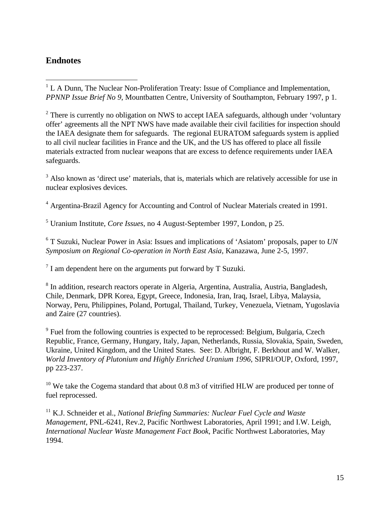# **Endnotes**

 $\overline{a}$ 

 $<sup>1</sup>$  L A Dunn, The Nuclear Non-Proliferation Treaty: Issue of Compliance and Implementation,</sup> *PPNNP Issue Brief No 9*, Mountbatten Centre, University of Southampton, February 1997, p 1.

 $2$  There is currently no obligation on NWS to accept IAEA safeguards, although under 'voluntary offer' agreements all the NPT NWS have made available their civil facilities for inspection should the IAEA designate them for safeguards. The regional EURATOM safeguards system is applied to all civil nuclear facilities in France and the UK, and the US has offered to place all fissile materials extracted from nuclear weapons that are excess to defence requirements under IAEA safeguards.

<sup>3</sup> Also known as 'direct use' materials, that is, materials which are relatively accessible for use in nuclear explosives devices.

<sup>4</sup> Argentina-Brazil Agency for Accounting and Control of Nuclear Materials created in 1991.

5 Uranium Institute, *Core Issues*, no 4 August-September 1997, London, p 25.

6 T Suzuki, Nuclear Power in Asia: Issues and implications of 'Asiatom' proposals, paper to *UN Symposium on Regional Co-operation in North East Asia*, Kanazawa, June 2-5, 1997.

 $7$  I am dependent here on the arguments put forward by T Suzuki.

<sup>8</sup> In addition, research reactors operate in Algeria, Argentina, Australia, Austria, Bangladesh, Chile, Denmark, DPR Korea, Egypt, Greece, Indonesia, Iran, Iraq, Israel, Libya, Malaysia, Norway, Peru, Philippines, Poland, Portugal, Thailand, Turkey, Venezuela, Vietnam, Yugoslavia and Zaire (27 countries).

<sup>9</sup> Fuel from the following countries is expected to be reprocessed: Belgium, Bulgaria, Czech Republic, France, Germany, Hungary, Italy, Japan, Netherlands, Russia, Slovakia, Spain, Sweden, Ukraine, United Kingdom, and the United States. See: D. Albright, F. Berkhout and W. Walker, *World Inventory of Plutonium and Highly Enriched Uranium 1996*, SIPRI/OUP, Oxford, 1997, pp 223-237.

<sup>10</sup> We take the Cogema standard that about 0.8 m3 of vitrified HLW are produced per tonne of fuel reprocessed.

<sup>11</sup> K.J. Schneider et al., *National Briefing Summaries: Nuclear Fuel Cycle and Waste Management*, PNL-6241, Rev.2, Pacific Northwest Laboratories, April 1991; and I.W. Leigh, *International Nuclear Waste Management Fact Book*, Pacific Northwest Laboratories, May 1994.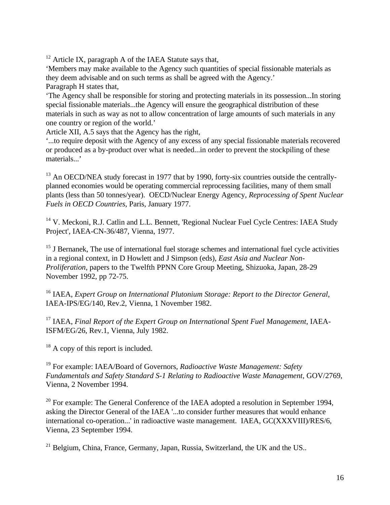$12$  Article IX, paragraph A of the IAEA Statute says that,

'Members may make available to the Agency such quantities of special fissionable materials as they deem advisable and on such terms as shall be agreed with the Agency.' Paragraph H states that,

'The Agency shall be responsible for storing and protecting materials in its possession...In storing special fissionable materials...the Agency will ensure the geographical distribution of these materials in such as way as not to allow concentration of large amounts of such materials in any one country or region of the world.'

Article XII, A.5 says that the Agency has the right,

'...to require deposit with the Agency of any excess of any special fissionable materials recovered or produced as a by-product over what is needed...in order to prevent the stockpiling of these materials...'

 $13$  An OECD/NEA study forecast in 1977 that by 1990, forty-six countries outside the centrallyplanned economies would be operating commercial reprocessing facilities, many of them small plants (less than 50 tonnes/year). OECD/Nuclear Energy Agency, *Reprocessing of Spent Nuclear Fuels in OECD Countries*, Paris, January 1977.

<sup>14</sup> V. Meckoni, R.J. Catlin and L.L. Bennett, 'Regional Nuclear Fuel Cycle Centres: IAEA Study Project', IAEA-CN-36/487, Vienna, 1977.

<sup>15</sup> J Bernanek, The use of international fuel storage schemes and international fuel cycle activities in a regional context, in D Howlett and J Simpson (eds), *East Asia and Nuclear Non-Proliferation*, papers to the Twelfth PPNN Core Group Meeting, Shizuoka, Japan, 28-29 November 1992, pp 72-75.

<sup>16</sup> IAEA, *Expert Group on International Plutonium Storage: Report to the Director General*, IAEA-IPS/EG/140, Rev.2, Vienna, 1 November 1982.

<sup>17</sup> IAEA, *Final Report of the Expert Group on International Spent Fuel Management*, IAEA-ISFM/EG/26, Rev.1, Vienna, July 1982.

<sup>18</sup> A copy of this report is included.

<sup>19</sup> For example: IAEA/Board of Governors, *Radioactive Waste Management: Safety Fundamentals and Safety Standard S-1 Relating to Radioactive Waste Management*, GOV/2769, Vienna, 2 November 1994.

<sup>20</sup> For example: The General Conference of the IAEA adopted a resolution in September 1994, asking the Director General of the IAEA '...to consider further measures that would enhance international co-operation...' in radioactive waste management. IAEA, GC(XXXVIII)/RES/6, Vienna, 23 September 1994.

<sup>21</sup> Belgium, China, France, Germany, Japan, Russia, Switzerland, the UK and the US..